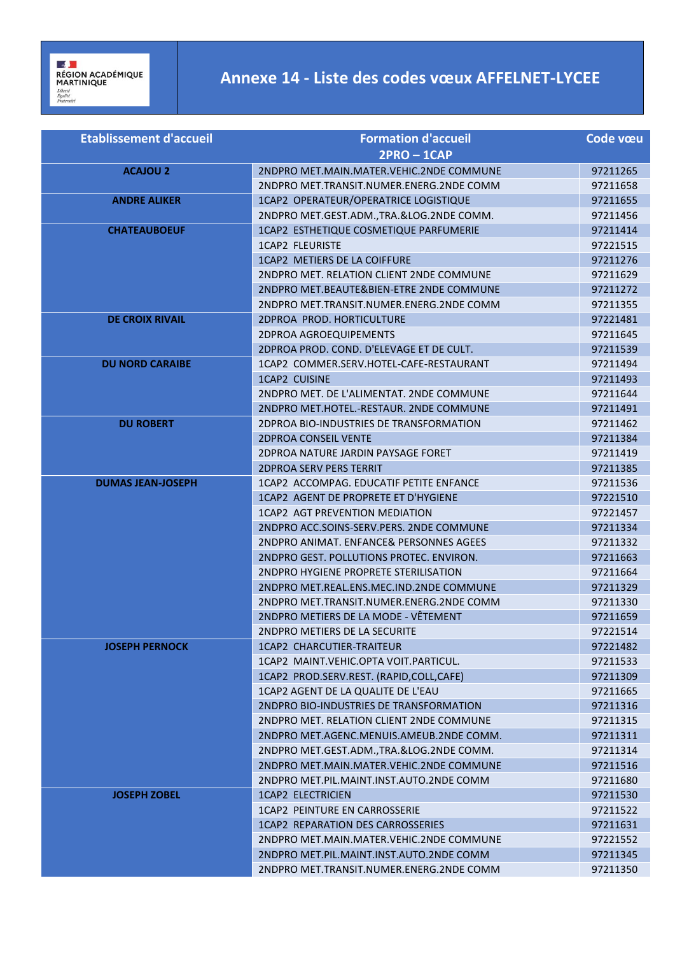## **Annexe 14 - Liste des codes vœux AFFELNET-LYCEE**

| <b>Etablissement d'accueil</b> | <b>Formation d'accueil</b>                | Code vœu |
|--------------------------------|-------------------------------------------|----------|
|                                | $2PRO - 1CAP$                             |          |
| <b>ACAJOU 2</b>                | 2NDPRO MET.MAIN.MATER.VEHIC.2NDE COMMUNE  | 97211265 |
|                                | 2NDPRO MET.TRANSIT.NUMER.ENERG.2NDE COMM  | 97211658 |
| <b>ANDRE ALIKER</b>            | 1CAP2 OPERATEUR/OPERATRICE LOGISTIQUE     | 97211655 |
|                                | 2NDPRO MET.GEST.ADM., TRA.&LOG.2NDE COMM. | 97211456 |
| <b>CHATEAUBOEUF</b>            | 1CAP2 ESTHETIQUE COSMETIQUE PARFUMERIE    | 97211414 |
|                                | 1CAP2 FLEURISTE                           | 97221515 |
|                                | 1CAP2 METIERS DE LA COIFFURE              | 97211276 |
|                                | 2NDPRO MET. RELATION CLIENT 2NDE COMMUNE  | 97211629 |
|                                | 2NDPRO MET.BEAUTE&BIEN-ETRE 2NDE COMMUNE  | 97211272 |
|                                | 2NDPRO MET.TRANSIT.NUMER.ENERG.2NDE COMM  | 97211355 |
| <b>DE CROIX RIVAIL</b>         | 2DPROA PROD. HORTICULTURE                 | 97221481 |
|                                | 2DPROA AGROEQUIPEMENTS                    | 97211645 |
|                                | 2DPROA PROD. COND. D'ELEVAGE ET DE CULT.  | 97211539 |
| <b>DU NORD CARAIBE</b>         | 1CAP2 COMMER.SERV.HOTEL-CAFE-RESTAURANT   | 97211494 |
|                                | <b>1CAP2 CUISINE</b>                      | 97211493 |
|                                | 2NDPRO MET. DE L'ALIMENTAT. 2NDE COMMUNE  | 97211644 |
|                                | 2NDPRO MET.HOTEL.-RESTAUR. 2NDE COMMUNE   | 97211491 |
| <b>DU ROBERT</b>               | 2DPROA BIO-INDUSTRIES DE TRANSFORMATION   | 97211462 |
|                                | <b>2DPROA CONSEIL VENTE</b>               | 97211384 |
|                                | 2DPROA NATURE JARDIN PAYSAGE FORET        | 97211419 |
|                                | <b>2DPROA SERV PERS TERRIT</b>            | 97211385 |
| <b>DUMAS JEAN-JOSEPH</b>       | 1CAP2 ACCOMPAG. EDUCATIF PETITE ENFANCE   | 97211536 |
|                                | 1CAP2 AGENT DE PROPRETE ET D'HYGIENE      | 97221510 |
|                                | 1 CAP2 AGT PREVENTION MEDIATION           | 97221457 |
|                                | 2NDPRO ACC.SOINS-SERV.PERS. 2NDE COMMUNE  | 97211334 |
|                                | 2NDPRO ANIMAT. ENFANCE& PERSONNES AGEES   | 97211332 |
|                                | 2NDPRO GEST. POLLUTIONS PROTEC. ENVIRON.  | 97211663 |
|                                | 2NDPRO HYGIENE PROPRETE STERILISATION     | 97211664 |
|                                | 2NDPRO MET.REAL.ENS.MEC.IND.2NDE COMMUNE  | 97211329 |
|                                | 2NDPRO MET.TRANSIT.NUMER.ENERG.2NDE COMM  | 97211330 |
|                                | 2NDPRO METIERS DE LA MODE - VÊTEMENT      | 97211659 |
|                                | 2NDPRO METIERS DE LA SECURITE             | 97221514 |
| <b>JOSEPH PERNOCK</b>          | 1CAP2 CHARCUTIER-TRAITEUR                 | 97221482 |
|                                | 1CAP2 MAINT.VEHIC.OPTA VOIT.PARTICUL.     | 97211533 |
|                                | 1CAP2 PROD.SERV.REST. (RAPID,COLL,CAFE)   | 97211309 |
|                                | 1CAP2 AGENT DE LA QUALITE DE L'EAU        | 97211665 |
|                                | 2NDPRO BIO-INDUSTRIES DE TRANSFORMATION   | 97211316 |
|                                | 2NDPRO MET. RELATION CLIENT 2NDE COMMUNE  | 97211315 |
|                                | 2NDPRO MET.AGENC.MENUIS.AMEUB.2NDE COMM.  | 97211311 |
|                                | 2NDPRO MET.GEST.ADM., TRA.&LOG.2NDE COMM. | 97211314 |
|                                | 2NDPRO MET.MAIN.MATER.VEHIC.2NDE COMMUNE  | 97211516 |
|                                | 2NDPRO MET.PIL.MAINT.INST.AUTO.2NDE COMM  | 97211680 |
| <b>JOSEPH ZOBEL</b>            | <b>1CAP2 ELECTRICIEN</b>                  | 97211530 |
|                                | 1CAP2 PEINTURE EN CARROSSERIE             | 97211522 |
|                                | 1CAP2 REPARATION DES CARROSSERIES         | 97211631 |
|                                | 2NDPRO MET.MAIN.MATER.VEHIC.2NDE COMMUNE  | 97221552 |
|                                | 2NDPRO MET.PIL.MAINT.INST.AUTO.2NDE COMM  | 97211345 |
|                                | 2NDPRO MET.TRANSIT.NUMER.ENERG.2NDE COMM  | 97211350 |
|                                |                                           |          |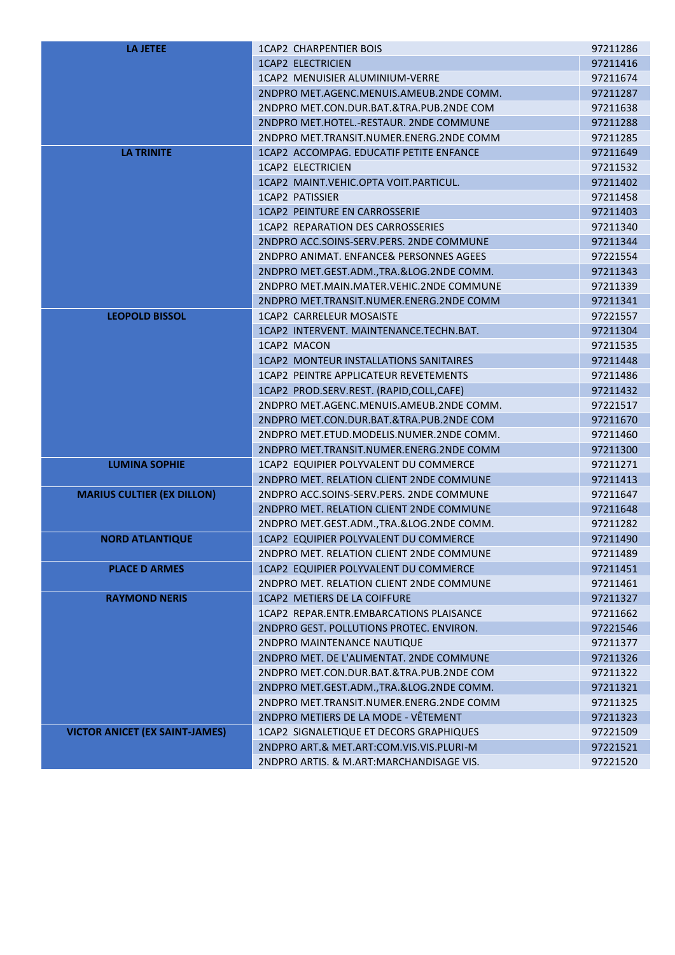| <b>LA JETEE</b>                       | <b>1CAP2 CHARPENTIER BOIS</b>             | 97211286 |
|---------------------------------------|-------------------------------------------|----------|
|                                       | <b>1CAP2 ELECTRICIEN</b>                  | 97211416 |
|                                       | 1CAP2 MENUISIER ALUMINIUM-VERRE           | 97211674 |
|                                       | 2NDPRO MET.AGENC.MENUIS.AMEUB.2NDE COMM.  | 97211287 |
|                                       | 2NDPRO MET.CON.DUR.BAT.&TRA.PUB.2NDE COM  | 97211638 |
|                                       | 2NDPRO MET.HOTEL.-RESTAUR. 2NDE COMMUNE   | 97211288 |
|                                       | 2NDPRO MET.TRANSIT.NUMER.ENERG.2NDE COMM  | 97211285 |
| <b>LA TRINITE</b>                     | 1CAP2 ACCOMPAG. EDUCATIF PETITE ENFANCE   | 97211649 |
|                                       | <b>1CAP2 ELECTRICIEN</b>                  | 97211532 |
|                                       | 1CAP2 MAINT.VEHIC.OPTA VOIT.PARTICUL.     | 97211402 |
|                                       | <b>1CAP2 PATISSIER</b>                    | 97211458 |
|                                       | <b>1CAP2 PEINTURE EN CARROSSERIE</b>      | 97211403 |
|                                       | 1CAP2 REPARATION DES CARROSSERIES         | 97211340 |
|                                       | 2NDPRO ACC.SOINS-SERV.PERS. 2NDE COMMUNE  | 97211344 |
|                                       | 2NDPRO ANIMAT. ENFANCE& PERSONNES AGEES   | 97221554 |
|                                       | 2NDPRO MET.GEST.ADM., TRA.&LOG.2NDE COMM. | 97211343 |
|                                       | 2NDPRO MET.MAIN.MATER.VEHIC.2NDE COMMUNE  | 97211339 |
|                                       | 2NDPRO MET.TRANSIT.NUMER.ENERG.2NDE COMM  | 97211341 |
| <b>LEOPOLD BISSOL</b>                 | <b>1CAP2 CARRELEUR MOSAISTE</b>           | 97221557 |
|                                       | 1CAP2 INTERVENT. MAINTENANCE.TECHN.BAT.   | 97211304 |
|                                       | 1CAP2 MACON                               | 97211535 |
|                                       | 1CAP2 MONTEUR INSTALLATIONS SANITAIRES    | 97211448 |
|                                       | 1CAP2 PEINTRE APPLICATEUR REVETEMENTS     | 97211486 |
|                                       | 1CAP2 PROD.SERV.REST. (RAPID,COLL,CAFE)   | 97211432 |
|                                       | 2NDPRO MET.AGENC.MENUIS.AMEUB.2NDE COMM.  | 97221517 |
|                                       | 2NDPRO MET.CON.DUR.BAT.&TRA.PUB.2NDE COM  | 97211670 |
|                                       | 2NDPRO MET.ETUD.MODELIS.NUMER.2NDE COMM.  | 97211460 |
|                                       | 2NDPRO MET.TRANSIT.NUMER.ENERG.2NDE COMM  | 97211300 |
| <b>LUMINA SOPHIE</b>                  | 1CAP2 EQUIPIER POLYVALENT DU COMMERCE     | 97211271 |
|                                       | 2NDPRO MET. RELATION CLIENT 2NDE COMMUNE  | 97211413 |
| <b>MARIUS CULTIER (EX DILLON)</b>     | 2NDPRO ACC.SOINS-SERV.PERS. 2NDE COMMUNE  | 97211647 |
|                                       | 2NDPRO MET. RELATION CLIENT 2NDE COMMUNE  | 97211648 |
|                                       | 2NDPRO MET.GEST.ADM., TRA.&LOG.2NDE COMM. | 97211282 |
| <b>NORD ATLANTIQUE</b>                | 1CAP2 EQUIPIER POLYVALENT DU COMMERCE     | 97211490 |
|                                       | 2NDPRO MET. RELATION CLIENT 2NDE COMMUNE  | 97211489 |
| <b>PLACE D ARMES</b>                  | 1CAP2 EQUIPIER POLYVALENT DU COMMERCE     | 97211451 |
|                                       | 2NDPRO MET. RELATION CLIENT 2NDE COMMUNE  | 97211461 |
| <b>RAYMOND NERIS</b>                  | 1CAP2 METIERS DE LA COIFFURE              | 97211327 |
|                                       | 1CAP2 REPAR.ENTR.EMBARCATIONS PLAISANCE   | 97211662 |
|                                       | 2NDPRO GEST. POLLUTIONS PROTEC. ENVIRON.  | 97221546 |
|                                       | 2NDPRO MAINTENANCE NAUTIQUE               | 97211377 |
|                                       | 2NDPRO MET. DE L'ALIMENTAT. 2NDE COMMUNE  | 97211326 |
|                                       | 2NDPRO MET.CON.DUR.BAT.&TRA.PUB.2NDE COM  | 97211322 |
|                                       | 2NDPRO MET.GEST.ADM., TRA.&LOG.2NDE COMM. | 97211321 |
|                                       | 2NDPRO MET.TRANSIT.NUMER.ENERG.2NDE COMM  | 97211325 |
|                                       | 2NDPRO METIERS DE LA MODE - VÊTEMENT      | 97211323 |
| <b>VICTOR ANICET (EX SAINT-JAMES)</b> | 1CAP2 SIGNALETIQUE ET DECORS GRAPHIQUES   | 97221509 |
|                                       | 2NDPRO ART.& MET.ART:COM.VIS.VIS.PLURI-M  | 97221521 |
|                                       | 2NDPRO ARTIS. & M.ART:MARCHANDISAGE VIS.  | 97221520 |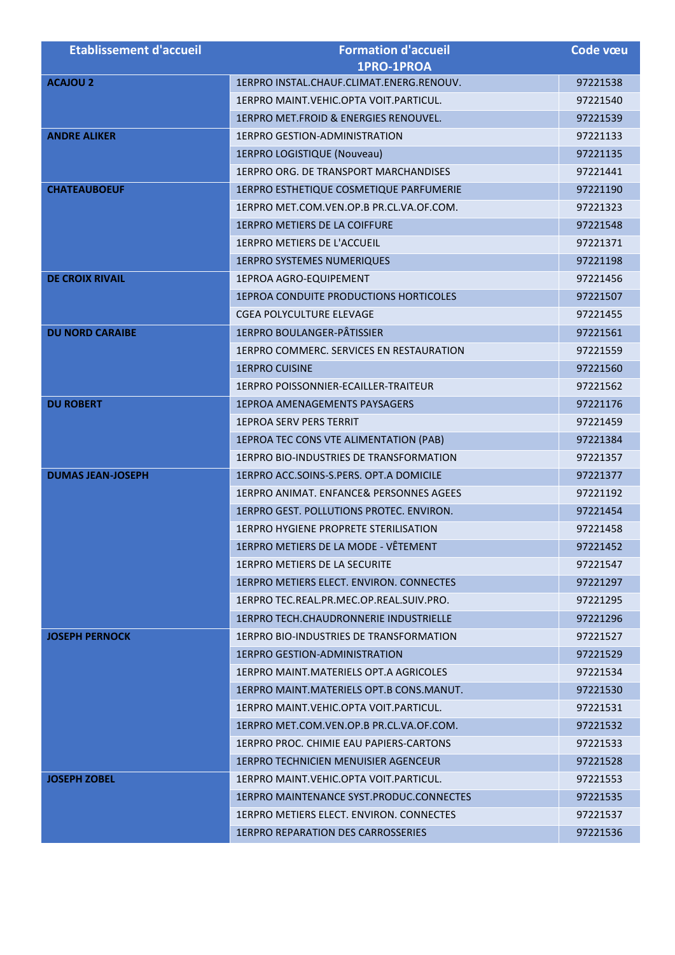| <b>Etablissement d'accueil</b> | <b>Formation d'accueil</b>                      | Code vœu |
|--------------------------------|-------------------------------------------------|----------|
|                                | 1PRO-1PROA                                      |          |
| <b>ACAJOU 2</b>                | 1ERPRO INSTAL.CHAUF.CLIMAT.ENERG.RENOUV.        | 97221538 |
|                                | 1ERPRO MAINT. VEHIC. OPTA VOIT. PARTICUL.       | 97221540 |
|                                | 1ERPRO MET.FROID & ENERGIES RENOUVEL.           | 97221539 |
| <b>ANDRE ALIKER</b>            | <b>1ERPRO GESTION-ADMINISTRATION</b>            | 97221133 |
|                                | 1ERPRO LOGISTIQUE (Nouveau)                     | 97221135 |
|                                | 1ERPRO ORG. DE TRANSPORT MARCHANDISES           | 97221441 |
| <b>CHATEAUBOEUF</b>            | 1ERPRO ESTHETIQUE COSMETIQUE PARFUMERIE         | 97221190 |
|                                | 1ERPRO MET.COM.VEN.OP.B PR.CL.VA.OF.COM.        | 97221323 |
|                                | <b>1ERPRO METIERS DE LA COIFFURE</b>            | 97221548 |
|                                | 1ERPRO METIERS DE L'ACCUEIL                     | 97221371 |
|                                | <b>1ERPRO SYSTEMES NUMERIQUES</b>               | 97221198 |
| <b>DE CROIX RIVAIL</b>         | <b>1EPROA AGRO-EQUIPEMENT</b>                   | 97221456 |
|                                | <b>1EPROA CONDUITE PRODUCTIONS HORTICOLES</b>   | 97221507 |
|                                | CGEA POLYCULTURE ELEVAGE                        | 97221455 |
| <b>DU NORD CARAIBE</b>         | <b>1ERPRO BOULANGER-PÂTISSIER</b>               | 97221561 |
|                                | 1ERPRO COMMERC. SERVICES EN RESTAURATION        | 97221559 |
|                                | <b>1ERPRO CUISINE</b>                           | 97221560 |
|                                | 1ERPRO POISSONNIER-ECAILLER-TRAITEUR            | 97221562 |
| <b>DU ROBERT</b>               | <b>1EPROA AMENAGEMENTS PAYSAGERS</b>            | 97221176 |
|                                | <b>1EPROA SERV PERS TERRIT</b>                  | 97221459 |
|                                | 1EPROA TEC CONS VTE ALIMENTATION (PAB)          | 97221384 |
|                                | 1ERPRO BIO-INDUSTRIES DE TRANSFORMATION         | 97221357 |
| <b>DUMAS JEAN-JOSEPH</b>       | 1ERPRO ACC.SOINS-S.PERS. OPT.A DOMICILE         | 97221377 |
|                                | 1ERPRO ANIMAT. ENFANCE& PERSONNES AGEES         | 97221192 |
|                                | 1ERPRO GEST. POLLUTIONS PROTEC. ENVIRON.        | 97221454 |
|                                | <b>1ERPRO HYGIENE PROPRETE STERILISATION</b>    | 97221458 |
|                                | 1ERPRO METIERS DE LA MODE - VÊTEMENT            | 97221452 |
|                                | 1ERPRO METIERS DE LA SECURITE                   | 97221547 |
|                                | <b>1ERPRO METIERS ELECT. ENVIRON. CONNECTES</b> | 97221297 |
|                                | 1ERPRO TEC.REAL.PR.MEC.OP.REAL.SUIV.PRO.        | 97221295 |
|                                | 1ERPRO TECH.CHAUDRONNERIE INDUSTRIELLE          | 97221296 |
| <b>JOSEPH PERNOCK</b>          | 1ERPRO BIO-INDUSTRIES DE TRANSFORMATION         | 97221527 |
|                                | <b>1ERPRO GESTION-ADMINISTRATION</b>            | 97221529 |
|                                | 1ERPRO MAINT.MATERIELS OPT.A AGRICOLES          | 97221534 |
|                                | 1ERPRO MAINT. MATERIELS OPT. B CONS. MANUT.     | 97221530 |
|                                | 1ERPRO MAINT.VEHIC.OPTA VOIT.PARTICUL.          | 97221531 |
|                                | 1ERPRO MET.COM.VEN.OP.B PR.CL.VA.OF.COM.        | 97221532 |
|                                | 1ERPRO PROC. CHIMIE EAU PAPIERS-CARTONS         | 97221533 |
|                                | 1ERPRO TECHNICIEN MENUISIER AGENCEUR            | 97221528 |
| <b>JOSEPH ZOBEL</b>            | 1ERPRO MAINT. VEHIC. OPTA VOIT. PARTICUL.       | 97221553 |
|                                | <b>1ERPRO MAINTENANCE SYST.PRODUC.CONNECTES</b> | 97221535 |
|                                | 1ERPRO METIERS ELECT. ENVIRON. CONNECTES        | 97221537 |
|                                | 1ERPRO REPARATION DES CARROSSERIES              | 97221536 |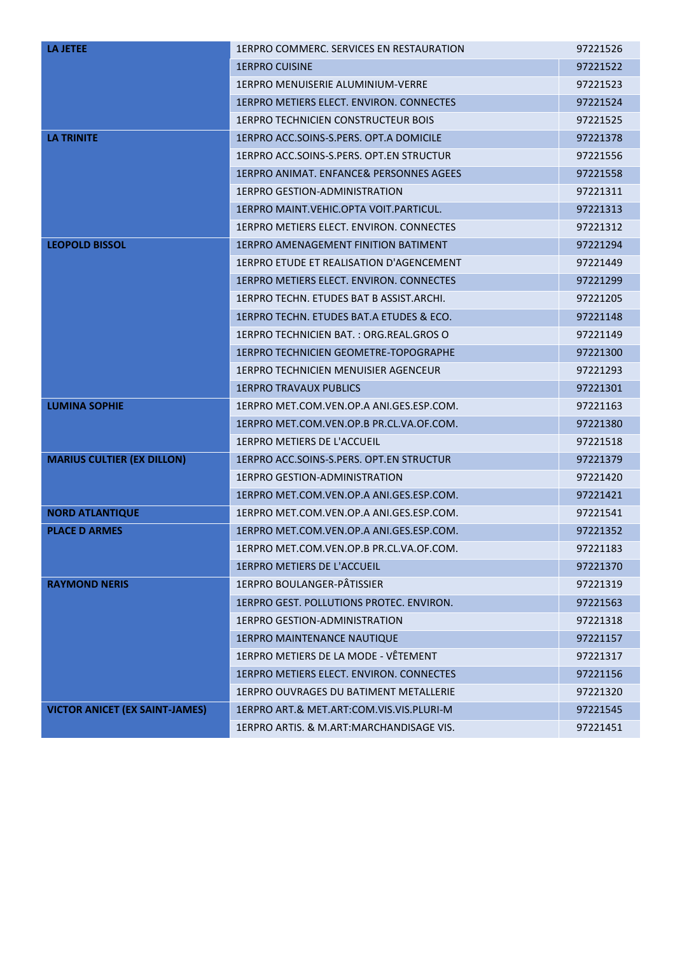| <b>LA JETEE</b>                       | 1ERPRO COMMERC. SERVICES EN RESTAURATION           | 97221526 |
|---------------------------------------|----------------------------------------------------|----------|
|                                       | <b>1ERPRO CUISINE</b>                              | 97221522 |
|                                       | <b>1ERPRO MENUISERIE ALUMINIUM-VERRE</b>           | 97221523 |
|                                       | <b>1ERPRO METIERS ELECT. ENVIRON. CONNECTES</b>    | 97221524 |
|                                       | <b>1ERPRO TECHNICIEN CONSTRUCTEUR BOIS</b>         | 97221525 |
| <b>LA TRINITE</b>                     | 1ERPRO ACC.SOINS-S.PERS. OPT.A DOMICILE            | 97221378 |
|                                       | 1ERPRO ACC.SOINS-S.PERS. OPT.EN STRUCTUR           | 97221556 |
|                                       | <b>1ERPRO ANIMAT. ENFANCE&amp; PERSONNES AGEES</b> | 97221558 |
|                                       | 1ERPRO GESTION-ADMINISTRATION                      | 97221311 |
|                                       | 1ERPRO MAINT. VEHIC. OPTA VOIT. PARTICUL.          | 97221313 |
|                                       | 1ERPRO METIERS ELECT. ENVIRON. CONNECTES           | 97221312 |
| <b>LEOPOLD BISSOL</b>                 | <b>1ERPRO AMENAGEMENT FINITION BATIMENT</b>        | 97221294 |
|                                       | 1ERPRO ETUDE ET REALISATION D'AGENCEMENT           | 97221449 |
|                                       | 1ERPRO METIERS ELECT. ENVIRON. CONNECTES           | 97221299 |
|                                       | 1ERPRO TECHN. ETUDES BAT B ASSIST.ARCHI.           | 97221205 |
|                                       | 1ERPRO TECHN. ETUDES BAT.A ETUDES & ECO.           | 97221148 |
|                                       | 1ERPRO TECHNICIEN BAT.: ORG.REAL.GROS O            | 97221149 |
|                                       | <b>1ERPRO TECHNICIEN GEOMETRE-TOPOGRAPHE</b>       | 97221300 |
|                                       | 1ERPRO TECHNICIEN MENUISIER AGENCEUR               | 97221293 |
|                                       | <b>1ERPRO TRAVAUX PUBLICS</b>                      | 97221301 |
| <b>LUMINA SOPHIE</b>                  | 1ERPRO MET.COM.VEN.OP.A ANI.GES.ESP.COM.           | 97221163 |
|                                       | 1ERPRO MET.COM.VEN.OP.B PR.CL.VA.OF.COM.           | 97221380 |
|                                       | 1ERPRO METIERS DE L'ACCUEIL                        | 97221518 |
| <b>MARIUS CULTIER (EX DILLON)</b>     | 1ERPRO ACC.SOINS-S.PERS. OPT.EN STRUCTUR           | 97221379 |
|                                       | 1ERPRO GESTION-ADMINISTRATION                      | 97221420 |
|                                       | 1ERPRO MET.COM.VEN.OP.A ANI.GES.ESP.COM.           | 97221421 |
| <b>NORD ATLANTIQUE</b>                | 1ERPRO MET.COM.VEN.OP.A ANI.GES.ESP.COM.           | 97221541 |
| <b>PLACE D ARMES</b>                  | 1ERPRO MET.COM.VEN.OP.A ANI.GES.ESP.COM.           | 97221352 |
|                                       | 1ERPRO MET.COM.VEN.OP.B PR.CL.VA.OF.COM.           | 97221183 |
|                                       | <b>1ERPRO METIERS DE L'ACCUEIL</b>                 | 97221370 |
| <b>RAYMOND NERIS</b>                  | 1ERPRO BOULANGER-PÂTISSIER                         | 97221319 |
|                                       | 1ERPRO GEST. POLLUTIONS PROTEC. ENVIRON.           | 97221563 |
|                                       | 1ERPRO GESTION-ADMINISTRATION                      | 97221318 |
|                                       | <b>1ERPRO MAINTENANCE NAUTIQUE</b>                 | 97221157 |
|                                       | 1ERPRO METIERS DE LA MODE - VÊTEMENT               | 97221317 |
|                                       | 1ERPRO METIERS ELECT. ENVIRON. CONNECTES           | 97221156 |
|                                       | 1ERPRO OUVRAGES DU BATIMENT METALLERIE             | 97221320 |
| <b>VICTOR ANICET (EX SAINT-JAMES)</b> | 1ERPRO ART.& MET.ART:COM.VIS.VIS.PLURI-M           | 97221545 |
|                                       | 1ERPRO ARTIS. & M.ART:MARCHANDISAGE VIS.           | 97221451 |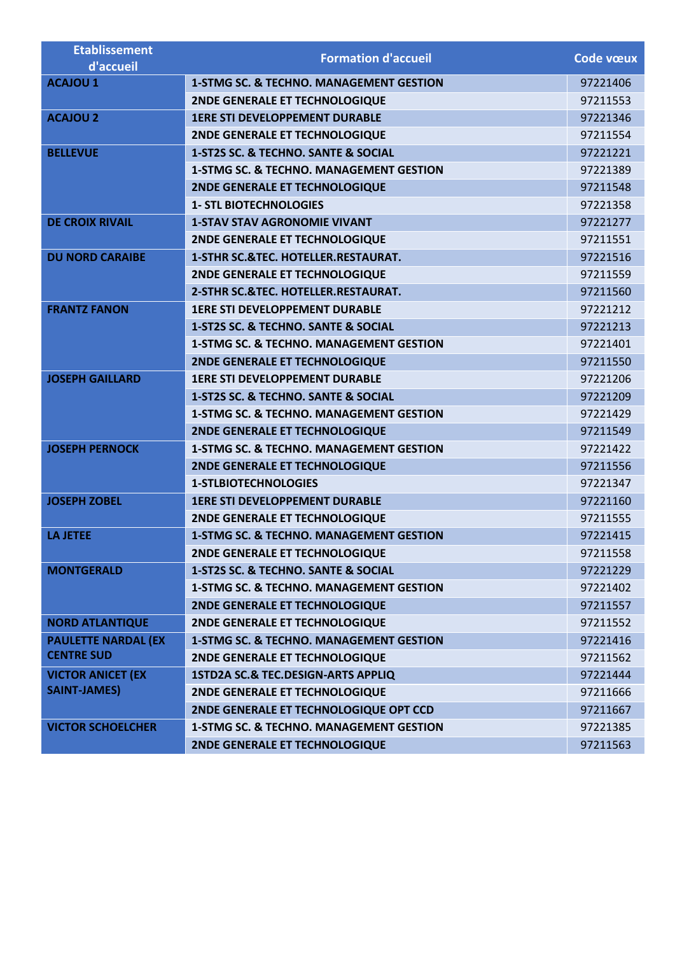| <b>Etablissement</b>       | <b>Formation d'accueil</b>                         | Code vœux |
|----------------------------|----------------------------------------------------|-----------|
| d'accueil                  |                                                    |           |
| <b>ACAJOU 1</b>            | <b>1-STMG SC. &amp; TECHNO. MANAGEMENT GESTION</b> | 97221406  |
|                            | 2NDE GENERALE ET TECHNOLOGIQUE                     | 97211553  |
| <b>ACAJOU 2</b>            | <b>1ERE STI DEVELOPPEMENT DURABLE</b>              | 97221346  |
|                            | 2NDE GENERALE ET TECHNOLOGIQUE                     | 97211554  |
| <b>BELLEVUE</b>            | 1-ST2S SC. & TECHNO. SANTE & SOCIAL                | 97221221  |
|                            | <b>1-STMG SC. &amp; TECHNO. MANAGEMENT GESTION</b> | 97221389  |
|                            | 2NDE GENERALE ET TECHNOLOGIQUE                     | 97211548  |
|                            | <b>1- STL BIOTECHNOLOGIES</b>                      | 97221358  |
| <b>DE CROIX RIVAIL</b>     | <b>1-STAV STAV AGRONOMIE VIVANT</b>                | 97221277  |
|                            | 2NDE GENERALE ET TECHNOLOGIQUE                     | 97211551  |
| <b>DU NORD CARAIBE</b>     | 1-STHR SC.&TEC. HOTELLER.RESTAURAT.                | 97221516  |
|                            | 2NDE GENERALE ET TECHNOLOGIQUE                     | 97211559  |
|                            | 2-STHR SC.&TEC. HOTELLER.RESTAURAT.                | 97211560  |
| <b>FRANTZ FANON</b>        | <b>1ERE STI DEVELOPPEMENT DURABLE</b>              | 97221212  |
|                            | 1-ST2S SC. & TECHNO. SANTE & SOCIAL                | 97221213  |
|                            | <b>1-STMG SC. &amp; TECHNO. MANAGEMENT GESTION</b> | 97221401  |
|                            | <b>2NDE GENERALE ET TECHNOLOGIQUE</b>              | 97211550  |
| <b>JOSEPH GAILLARD</b>     | <b>1ERE STI DEVELOPPEMENT DURABLE</b>              | 97221206  |
|                            | 1-ST2S SC. & TECHNO. SANTE & SOCIAL                | 97221209  |
|                            | 1-STMG SC. & TECHNO. MANAGEMENT GESTION            | 97221429  |
|                            | 2NDE GENERALE ET TECHNOLOGIQUE                     | 97211549  |
| <b>JOSEPH PERNOCK</b>      | <b>1-STMG SC. &amp; TECHNO. MANAGEMENT GESTION</b> | 97221422  |
|                            | 2NDE GENERALE ET TECHNOLOGIQUE                     | 97211556  |
|                            | <b>1-STLBIOTECHNOLOGIES</b>                        | 97221347  |
| <b>JOSEPH ZOBEL</b>        | <b>1ERE STI DEVELOPPEMENT DURABLE</b>              | 97221160  |
|                            | 2NDE GENERALE ET TECHNOLOGIQUE                     | 97211555  |
| <b>LA JETEE</b>            | <b>1-STMG SC. &amp; TECHNO. MANAGEMENT GESTION</b> | 97221415  |
|                            | <b>2NDE GENERALE ET TECHNOLOGIQUE</b>              | 97211558  |
| <b>MONTGERALD</b>          | 1-ST2S SC. & TECHNO. SANTE & SOCIAL                | 97221229  |
|                            | <b>1-STMG SC. &amp; TECHNO. MANAGEMENT GESTION</b> | 97221402  |
|                            | 2NDE GENERALE ET TECHNOLOGIQUE                     | 97211557  |
| <b>NORD ATLANTIQUE</b>     | 2NDE GENERALE ET TECHNOLOGIQUE                     | 97211552  |
| <b>PAULETTE NARDAL (EX</b> | <b>1-STMG SC. &amp; TECHNO. MANAGEMENT GESTION</b> | 97221416  |
| <b>CENTRE SUD</b>          | 2NDE GENERALE ET TECHNOLOGIQUE                     | 97211562  |
| <b>VICTOR ANICET (EX</b>   | 1STD2A SC.& TEC.DESIGN-ARTS APPLIQ                 | 97221444  |
| <b>SAINT-JAMES)</b>        | 2NDE GENERALE ET TECHNOLOGIQUE                     | 97211666  |
|                            | 2NDE GENERALE ET TECHNOLOGIQUE OPT CCD             | 97211667  |
| <b>VICTOR SCHOELCHER</b>   | <b>1-STMG SC. &amp; TECHNO. MANAGEMENT GESTION</b> | 97221385  |
|                            | 2NDE GENERALE ET TECHNOLOGIQUE                     | 97211563  |